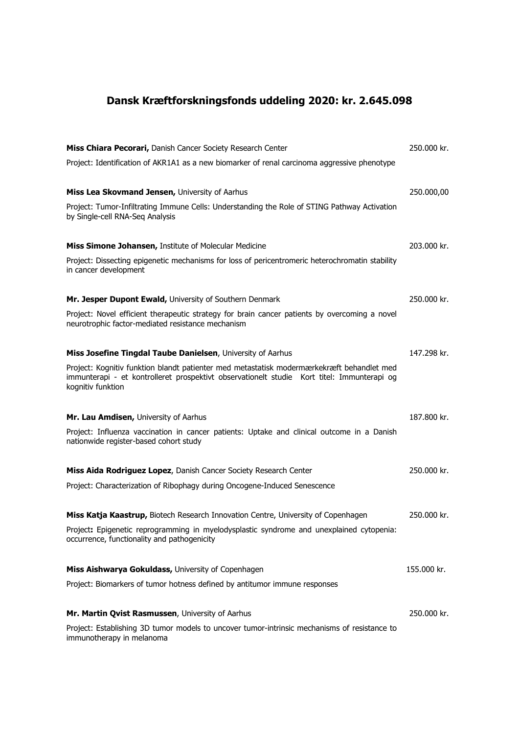## Dansk Kræftforskningsfonds uddeling 2020: kr. 2.645.098

| Miss Chiara Pecorari, Danish Cancer Society Research Center                                                                                                                                                  | 250,000 kr. |
|--------------------------------------------------------------------------------------------------------------------------------------------------------------------------------------------------------------|-------------|
| Project: Identification of AKR1A1 as a new biomarker of renal carcinoma aggressive phenotype                                                                                                                 |             |
| Miss Lea Skovmand Jensen, University of Aarhus                                                                                                                                                               | 250.000,00  |
| Project: Tumor-Infiltrating Immune Cells: Understanding the Role of STING Pathway Activation<br>by Single-cell RNA-Seq Analysis                                                                              |             |
| Miss Simone Johansen, Institute of Molecular Medicine                                                                                                                                                        | 203,000 kr. |
| Project: Dissecting epigenetic mechanisms for loss of pericentromeric heterochromatin stability<br>in cancer development                                                                                     |             |
| Mr. Jesper Dupont Ewald, University of Southern Denmark                                                                                                                                                      | 250,000 kr. |
| Project: Novel efficient therapeutic strategy for brain cancer patients by overcoming a novel<br>neurotrophic factor-mediated resistance mechanism                                                           |             |
| Miss Josefine Tingdal Taube Danielsen, University of Aarhus                                                                                                                                                  | 147.298 kr. |
| Project: Kognitiv funktion blandt patienter med metastatisk modermærkekræft behandlet med<br>immunterapi - et kontrolleret prospektivt observationelt studie Kort titel: Immunterapi og<br>kognitiv funktion |             |
| Mr. Lau Amdisen, University of Aarhus                                                                                                                                                                        | 187.800 kr. |
| Project: Influenza vaccination in cancer patients: Uptake and clinical outcome in a Danish<br>nationwide register-based cohort study                                                                         |             |
| Miss Aida Rodriguez Lopez, Danish Cancer Society Research Center                                                                                                                                             | 250,000 kr. |
| Project: Characterization of Ribophagy during Oncogene-Induced Senescence                                                                                                                                    |             |
| <b>Miss Katja Kaastrup, Biotech Research Innovation Centre, University of Copenhagen</b>                                                                                                                     | 250,000 kr. |
| Project: Epigenetic reprogramming in myelodysplastic syndrome and unexplained cytopenia:<br>occurrence, functionality and pathogenicity                                                                      |             |
| Miss Aishwarya Gokuldass, University of Copenhagen                                                                                                                                                           | 155.000 kr. |
| Project: Biomarkers of tumor hotness defined by antitumor immune responses                                                                                                                                   |             |
| Mr. Martin Qvist Rasmussen, University of Aarhus                                                                                                                                                             | 250.000 kr. |
| Project: Establishing 3D tumor models to uncover tumor-intrinsic mechanisms of resistance to<br>immunotherapy in melanoma                                                                                    |             |